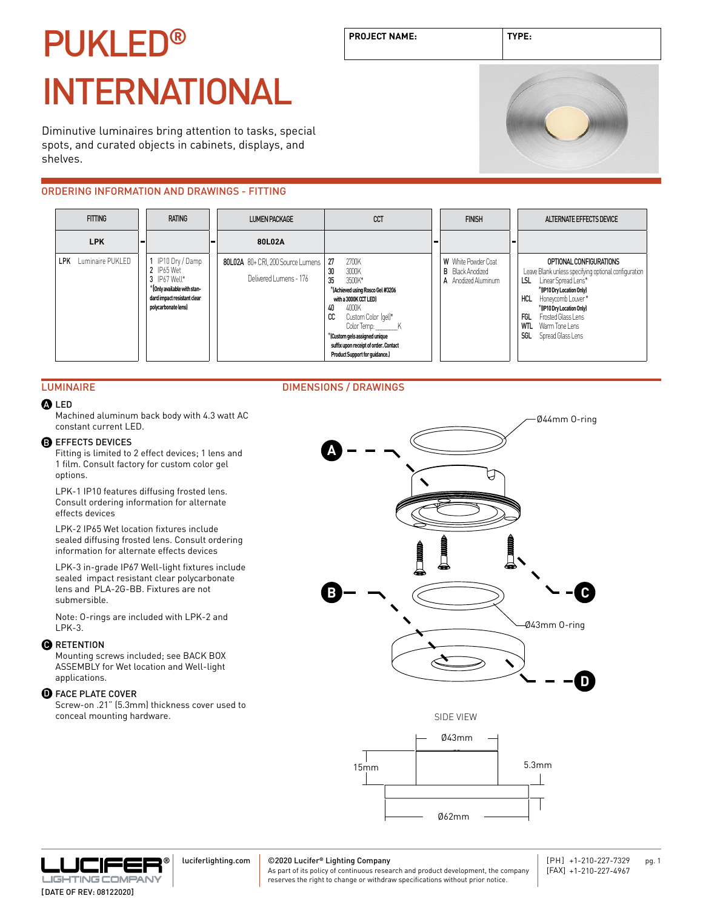# PUKLED**®** INTERNATIONAL

Diminutive luminaires bring attention to tasks, special spots, and curated objects in cabinets, displays, and shelves.

## ORDERING INFORMATION AND DRAWINGS - FITTING





#### LUMINAIRE DIMENSIONS / DRAWINGS

#### LED A

Machined aluminum back body with 4.3 watt AC constant current LED.

#### **B** EFFECTS DEVICES

Fitting is limited to 2 effect devices; 1 lens and 1 film. Consult factory for custom color gel options.

LPK-1 IP10 features diffusing frosted lens. Consult ordering information for alternate effects devices

LPK-2 IP65 Wet location fixtures include sealed diffusing frosted lens. Consult ordering information for alternate effects devices

LPK-3 in-grade IP67 Well-light fixtures include sealed impact resistant clear polycarbonate lens and PLA-2G-BB. Fixtures are not submersible.

Note: O-rings are included with LPK-2 and LPK-3.

#### **O** RETENTION

Mounting screws included; see BACK BOX ASSEMBLY for Wet location and Well-light applications.

#### **D** FACE PLATE COVER

Screw-on .21" (5.3mm) thickness cover used to conceal mounting hardware.



**PROJECT NAME: TYPE:**





luciferlighting.com

#### ©2020 Lucifer**®** Lighting Company

As part of its policy of continuous research and product development, the company reserves the right to change or withdraw specifications without prior notice.

[DATE OF REV: 08122020]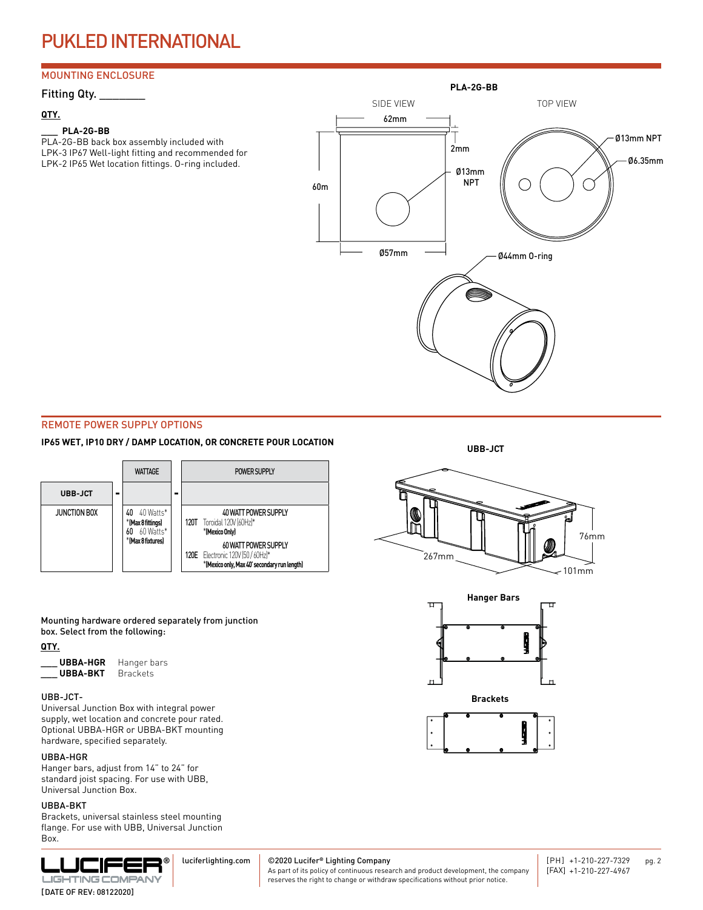## PUKLED INTERNATIONAL

### MOUNTING ENCLOSURE

#### **QTY.**

#### **\_\_\_ PLA-2G-BB**

PLA-2G-BB back box assembly included with LPK-3 IP67 Well-light fitting and recommended for LPK-2 IP65 Wet location fittings. O-ring included.



#### REMOTE POWER SUPPLY OPTIONS

#### **IP65 WET, IP10 DRY / DAMP LOCATION, OR CONCRETE POUR LOCATION**



Mounting hardware ordered separately from junction box. Select from the following:

#### **QTY.**

| <b>UBBA-HGR</b> | Hanger bars     |
|-----------------|-----------------|
| <b>UBBA-BKT</b> | <b>Brackets</b> |

Universal Junction Box with integral power supply, wet location and concrete pour rated. Optional UBBA-HGR or UBBA-BKT mounting hardware, specified separately.

#### UBBA-HGR

Hanger bars, adjust from 14" to 24" for standard joist spacing. For use with UBB, Universal Junction Box.

#### UBBA-BKT

Brackets, universal stainless steel mounting flange. For use with UBB, Universal Junction Box.



©2020 Lucifer**®** Lighting Company luciferlighting.com

As part of its policy of continuous research and product development, the company reserves the right to change or withdraw specifications without prior notice.









[DATE OF REV: 08122020]